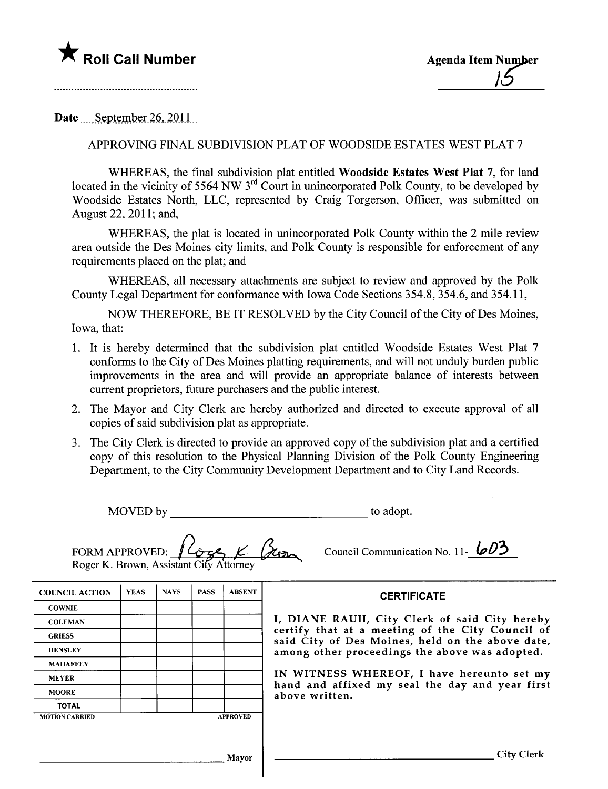## **The Roll Call Number Agents Agenda Item Number**

Date September 26, 2011

## APPROVING FINAL SUBDIVISION PLAT OF WOODSIDE ESTATES WEST PLAT 7

WHEREAS, the final subdivision plat entitled Woodside Estates West Plat 7, for land located in the vicinity of 5564 NW  $3<sup>rd</sup>$  Court in unincorporated Polk County, to be developed by Woodside Estates North, LLC, represented by Craig Torgerson, Officer, was submitted on August 22, 2011; and,

WHEREAS, the plat is located in unincorporated Polk County within the 2 mile review area outside the Des Moines city limits, and Polk County is responsible for enforcement of any requirements placed on the plat; and

WHEREAS, all necessary attachments are subject to review and approved by the Polk County Legal Department for conformance with Iowa Code Sections 354.8, 354.6, and 354.11,

NOW THEREFORE, BE IT RESOLVED by the City Council of the City of Des Moines, Iowa, that:

- 1. It is hereby determined that the subdivision plat entitled Woodside Estates West Plat 7 conforms to the City of Des Moines platting requirements, and will not unduly burden public improvements in the area and will provide an appropriate balance of interests between current proprietors, future purchasers and the public interest.
- 2. The Mayor and City Clerk are hereby authorized and directed to execute approval of all copies of said subdivision plat as appropriate.
- 3. The City Clerk is directed to provide an approved copy of the subdivision plat and a certified copy of this resolution to the Physical Planning Division of the Polk County Engineering Department, to the City Community Development Department and to City Land Records.

MOVED by to adopt.

| <b>COUNCIL ACTION</b> | <b>YEAS</b> | <b>NAYS</b> | <b>PASS</b> | <b>ABSENT</b> | <b>CERTIFICATE</b>                                                                                   |  |  |  |
|-----------------------|-------------|-------------|-------------|---------------|------------------------------------------------------------------------------------------------------|--|--|--|
| <b>COWNIE</b>         |             |             |             |               |                                                                                                      |  |  |  |
| <b>COLEMAN</b>        |             |             |             |               | I, DIANE RAUH, City Clerk of said City hereby                                                        |  |  |  |
| <b>GRIESS</b>         |             |             |             |               | certify that at a meeting of the City Council of<br>said City of Des Moines, held on the above date, |  |  |  |
| <b>HENSLEY</b>        |             |             |             |               | among other proceedings the above was adopted.<br>IN WITNESS WHEREOF, I have hereunto set my         |  |  |  |
| <b>MAHAFFEY</b>       |             |             |             |               |                                                                                                      |  |  |  |
| <b>MEYER</b>          |             |             |             |               |                                                                                                      |  |  |  |
| <b>MOORE</b>          |             |             |             |               | hand and affixed my seal the day and year first<br>above written.                                    |  |  |  |
|                       |             |             |             |               |                                                                                                      |  |  |  |

Mayor City Clerk